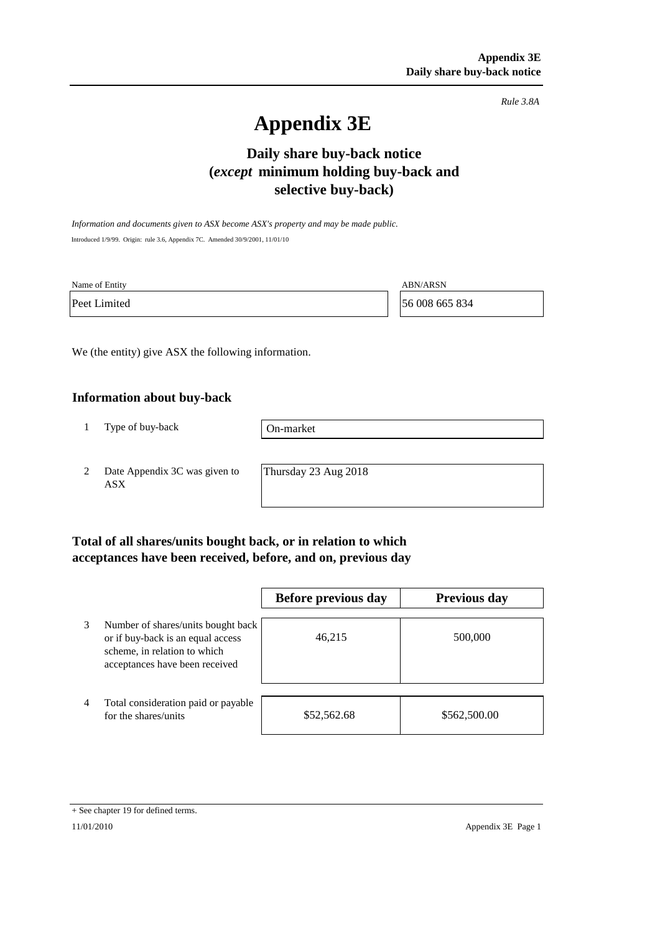*Rule 3.8A*

# **Appendix 3E**

## **selective buy-back) Daily share buy-back notice (***except* **minimum holding buy-back and**

*Information and documents given to ASX become ASX's property and may be made public.* Introduced 1/9/99. Origin: rule 3.6, Appendix 7C. Amended 30/9/2001, 11/01/10

| Name of Entity | <b>ABN/ARSN</b> |
|----------------|-----------------|
| Peet Limited   | 56 008 665 834  |

We (the entity) give ASX the following information.

#### **Information about buy-back**

1 Type of buy-back

On-market

2 Date Appendix 3C was given to ASX

Thursday 23 Aug 2018

### **Total of all shares/units bought back, or in relation to which acceptances have been received, before, and on, previous day**

|                |                                                                                                                                           | Before previous day | <b>Previous day</b> |
|----------------|-------------------------------------------------------------------------------------------------------------------------------------------|---------------------|---------------------|
| 3              | Number of shares/units bought back<br>or if buy-back is an equal access<br>scheme, in relation to which<br>acceptances have been received | 46,215              | 500,000             |
| $\overline{4}$ | Total consideration paid or payable<br>for the shares/units                                                                               | \$52,562.68         | \$562,500.00        |

<sup>+</sup> See chapter 19 for defined terms.